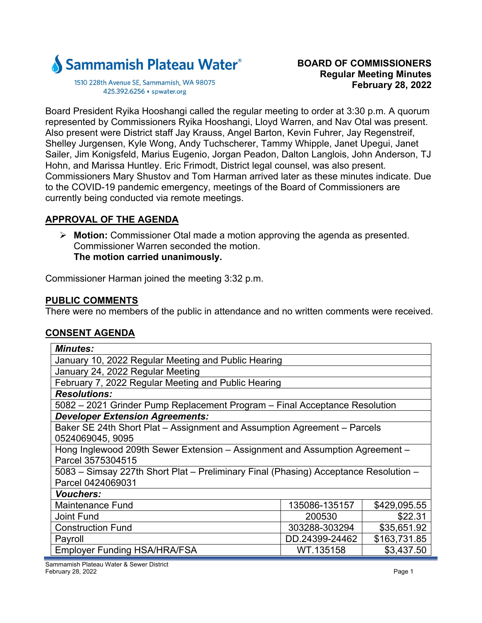

1510 228th Avenue SE, Sammamish, WA 98075 425.392.6256 · spwater.org

Board President Ryika Hooshangi called the regular meeting to order at 3:30 p.m. A quorum represented by Commissioners Ryika Hooshangi, Lloyd Warren, and Nav Otal was present. Also present were District staff Jay Krauss, Angel Barton, Kevin Fuhrer, Jay Regenstreif, Shelley Jurgensen, Kyle Wong, Andy Tuchscherer, Tammy Whipple, Janet Upegui, Janet Sailer, Jim Konigsfeld, Marius Eugenio, Jorgan Peadon, Dalton Langlois, John Anderson, TJ Hohn, and Marissa Huntley. Eric Frimodt, District legal counsel, was also present. Commissioners Mary Shustov and Tom Harman arrived later as these minutes indicate. Due to the COVID-19 pandemic emergency, meetings of the Board of Commissioners are currently being conducted via remote meetings.

# **APPROVAL OF THE AGENDA**

 **Motion:** Commissioner Otal made a motion approving the agenda as presented. Commissioner Warren seconded the motion. **The motion carried unanimously.** 

Commissioner Harman joined the meeting 3:32 p.m.

## **PUBLIC COMMENTS**

There were no members of the public in attendance and no written comments were received.

# **CONSENT AGENDA**

| <b>Minutes:</b>                                                                      |                |              |  |
|--------------------------------------------------------------------------------------|----------------|--------------|--|
| January 10, 2022 Regular Meeting and Public Hearing                                  |                |              |  |
| January 24, 2022 Regular Meeting                                                     |                |              |  |
| February 7, 2022 Regular Meeting and Public Hearing                                  |                |              |  |
| <b>Resolutions:</b>                                                                  |                |              |  |
|                                                                                      |                |              |  |
| 5082 – 2021 Grinder Pump Replacement Program – Final Acceptance Resolution           |                |              |  |
| <b>Developer Extension Agreements:</b>                                               |                |              |  |
| Baker SE 24th Short Plat - Assignment and Assumption Agreement - Parcels             |                |              |  |
| 0524069045, 9095                                                                     |                |              |  |
| Hong Inglewood 209th Sewer Extension - Assignment and Assumption Agreement -         |                |              |  |
| Parcel 3575304515                                                                    |                |              |  |
| 5083 – Simsay 227th Short Plat – Preliminary Final (Phasing) Acceptance Resolution – |                |              |  |
| Parcel 0424069031                                                                    |                |              |  |
| <b>Vouchers:</b>                                                                     |                |              |  |
| <b>Maintenance Fund</b>                                                              | 135086-135157  | \$429,095.55 |  |
| <b>Joint Fund</b>                                                                    | 200530         | \$22.31      |  |
| <b>Construction Fund</b>                                                             | 303288-303294  | \$35,651.92  |  |
| Payroll                                                                              | DD.24399-24462 | \$163,731.85 |  |
| Employer Funding HSA/HRA/FSA                                                         | WT.135158      | \$3,437.50   |  |

Sammamish Plateau Water & Sewer District February 28, 2022 Page 1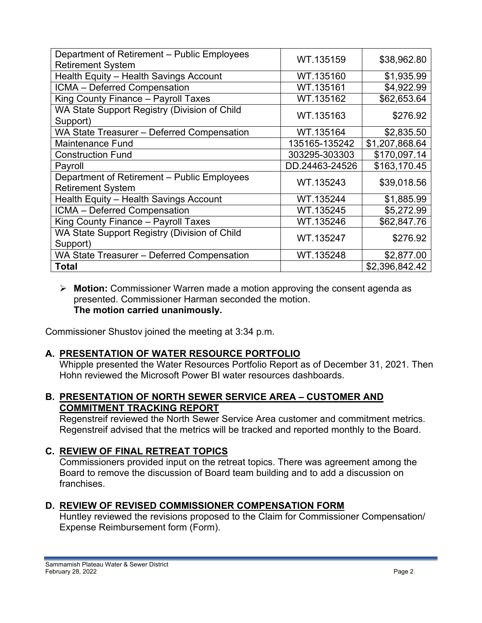| Department of Retirement - Public Employees<br><b>Retirement System</b> | WT.135159      | \$38,962.80    |
|-------------------------------------------------------------------------|----------------|----------------|
| Health Equity - Health Savings Account                                  | WT.135160      | \$1,935.99     |
| ICMA - Deferred Compensation                                            | WT.135161      | \$4,922.99     |
| King County Finance - Payroll Taxes                                     | WT.135162      | \$62,653.64    |
| WA State Support Registry (Division of Child<br>Support)                | WT.135163      | \$276.92       |
| WA State Treasurer - Deferred Compensation                              | WT.135164      | \$2,835.50     |
| <b>Maintenance Fund</b>                                                 | 135165-135242  | \$1,207,868.64 |
| <b>Construction Fund</b>                                                | 303295-303303  | \$170,097.14   |
| Payroll                                                                 | DD.24463-24526 | \$163,170.45   |
| Department of Retirement - Public Employees<br><b>Retirement System</b> | WT.135243      | \$39,018.56    |
| Health Equity - Health Savings Account                                  | WT.135244      | \$1,885.99     |
| ICMA - Deferred Compensation                                            | WT.135245      | \$5,272.99     |
| King County Finance - Payroll Taxes                                     | WT.135246      | \$62,847.76    |
| WA State Support Registry (Division of Child<br>Support)                | WT.135247      | \$276.92       |
| WA State Treasurer - Deferred Compensation                              | WT.135248      | \$2,877.00     |
| Total                                                                   |                | \$2,396,842.42 |

### **Motion:** Commissioner Warren made a motion approving the consent agenda as presented. Commissioner Harman seconded the motion. **The motion carried unanimously.**

Commissioner Shustov joined the meeting at 3:34 p.m.

# **A. PRESENTATION OF WATER RESOURCE PORTFOLIO**

Whipple presented the Water Resources Portfolio Report as of December 31, 2021. Then Hohn reviewed the Microsoft Power BI water resources dashboards.

# **B. PRESENTATION OF NORTH SEWER SERVICE AREA – CUSTOMER AND COMMITMENT TRACKING REPORT**

Regenstreif reviewed the North Sewer Service Area customer and commitment metrics. Regenstreif advised that the metrics will be tracked and reported monthly to the Board.

# **C. REVIEW OF FINAL RETREAT TOPICS**

Commissioners provided input on the retreat topics. There was agreement among the Board to remove the discussion of Board team building and to add a discussion on franchises.

# **D. REVIEW OF REVISED COMMISSIONER COMPENSATION FORM**

Huntley reviewed the revisions proposed to the Claim for Commissioner Compensation/ Expense Reimbursement form (Form).